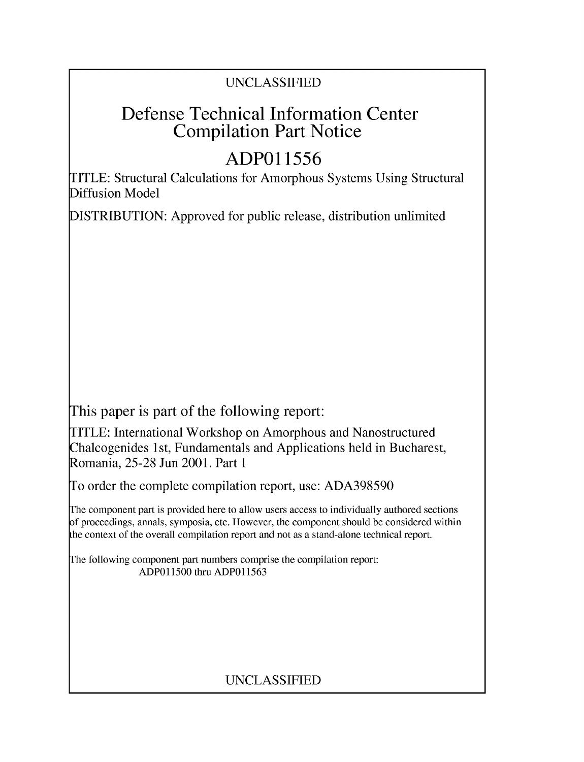# UNCLASSIFIED

# Defense Technical Information Center Compilation Part Notice

# **ADPO1 1556**

TITLE: Structural Calculations for Amorphous Systems Using Structural Diffusion Model

DISTRIBUTION: Approved for public release, distribution unlimited

This paper is part of the following report:

TITLE: International Workshop on Amorphous and Nanostructured Chalcogenides 1 st, Fundamentals and Applications held in Bucharest, Romania, 25-28 Jun 2001. Part 1

To order the complete compilation report, use: ADA398590

The component part is provided here to allow users access to individually authored sections f proceedings, annals, symposia, etc. However, the component should be considered within [he context of the overall compilation report and not as a stand-alone technical report.

The following component part numbers comprise the compilation report: ADPO11500 thru ADP011563

# UNCLASSIFIED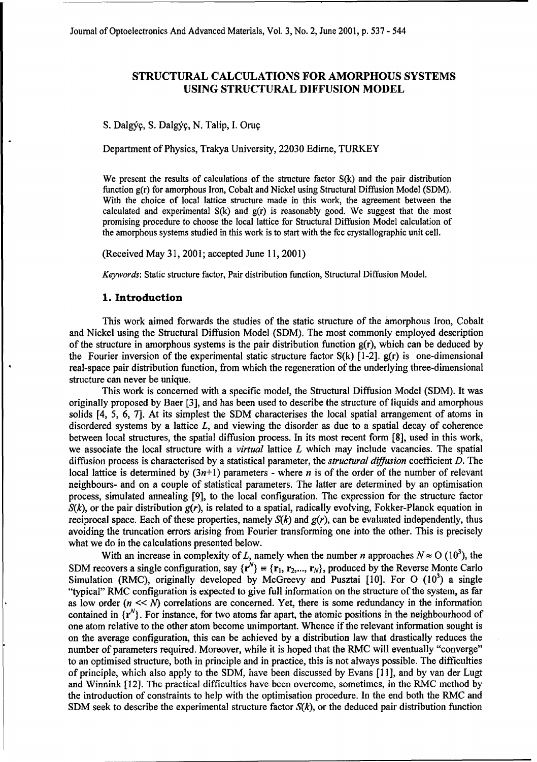Journal of Optoelectronics And Advanced Materials, Vol. 3, No. 2, June 2001, p. 537 - 544

## **STRUCTURAL CALCULATIONS** FOR AMORPHOUS **SYSTEMS USING STRUCTURAL DIFFUSION** MODEL

**S.** Dalg,9, **S.** Dalg&, **N.** Talip, **I.** Orug

Department of Physics, Trakya University, 22030 Edirne, TURKEY

We present the results of calculations of the structure factor  $S(k)$  and the pair distribution function g(r) for amorphous Iron, Cobalt and Nickel using Structural Diffusion Model (SDM). With the choice of local lattice structure made in this work, the agreement between the calculated and experimental  $S(k)$  and  $g(r)$  is reasonably good. We suggest that the most promising procedure to choose the local lattice for Structural Diffusion Model calculation of the amorphous systems studied in this work is to start with the fcc crystallographic unit cell.

(Received May 31, 2001; accepted June 11, 2001)

*Keywords:* Static structure factor, Pair distribution function, Structural Diffusion Model.

#### **1.** Introduction

This work aimed forwards the studies of the static structure of the amorphous Iron, Cobalt and Nickel using the Structural Diffusion Model (SDM). The most commonly employed description of the structure in amorphous systems is the pair distribution function  $g(r)$ , which can be deduced by the Fourier inversion of the experimental static structure factor  $S(k)$  [1-2].  $g(r)$  is one-dimensional real-space pair distribution function, from which the regeneration of the underlying three-dimensional structure can never be unique.

This work is concerned with a specific model, the Structural Diffusion Model (SDM). It was originally proposed by Baer [3], and has been used to describe the structure of liquids and amorphous solids [4, 5, 6, 7]. At its simplest the SDM characterises the local spatial arrangement of atoms in disordered systems by a lattice  $L$ , and viewing the disorder as due to a spatial decay of coherence between local structures, the spatial diffusion process. In its most recent form [8], used in this work, we associate the local structure with a *virtual* lattice L which may include vacancies. The spatial diffusion process is characterised by a statistical parameter, the *structural diffusion* coefficient D. The local lattice is determined by  $(3n+1)$  parameters - where n is of the order of the number of relevant neighbours- and on a couple of statistical parameters. The latter are determined by an optimisation process, simulated annealing [9], to the local configuration. The expression for the structure factor  $S(k)$ , or the pair distribution  $g(r)$ , is related to a spatial, radically evolving, Fokker-Planck equation in reciprocal space. Each of these properties, namely  $S(k)$  and  $g(r)$ , can be evaluated independently, thus avoiding the truncation errors arising from Fourier transforming one into the other. This is precisely what we do in the calculations presented below.

With an increase in complexity of L, namely when the number n approaches  $N \approx O (10^3)$ , the SDM recovers a single configuration, say  $\{r^N\} = \{r_1, r_2,..., r_N\}$ , produced by the Reverse Monte Carlo Simulation (RMC), originally developed by McGreevy and Pusztai [10]. For O (10<sup>3</sup>) a single "typical" RMC configuration is expected to give full information on the structure of the system, as far as low order  $(n \ll N)$  correlations are concerned. Yet, there is some redundancy in the information contained in  $\{r^N\}$ . For instance, for two atoms far apart, the atomic positions in the neighbourhood of one atom relative to the other atom become unimportant. Whence if the relevant information sought is on the average configuration, this can be achieved by a distribution law that drastically reduces the number of parameters required. Moreover, while it is hoped that the RMC will eventually "converge" to an optimised structure, both in principle and in practice, this is not always possible. The difficulties of principle, which also apply to the SDM, have been discussed by Evans [11], and by van der Lugt and Winnink [12]. The practical difficulties have been overcome, sometimes, in the RMC method by the introduction of constraints to help with the optimisation procedure. In the end both the RMC and SDM seek to describe the experimental structure factor *S(k),* or the deduced pair distribution function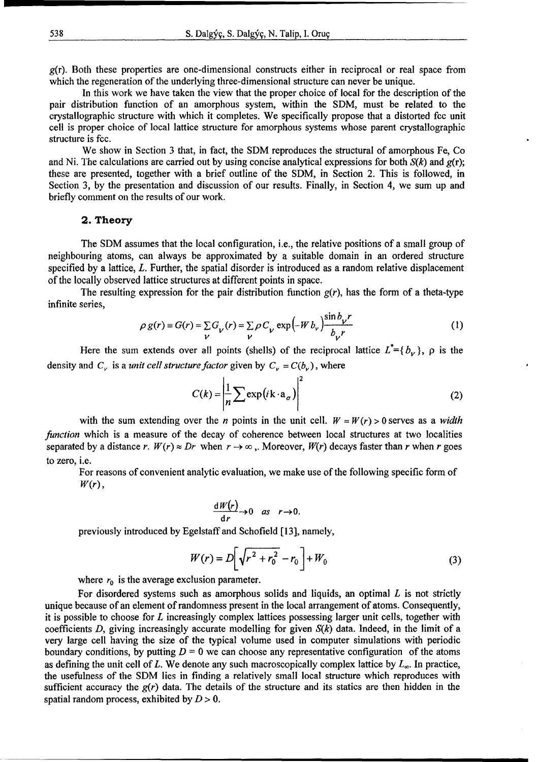538 S. Dalgýc, S. Dalgýc, N. Talip, I. Oruc

 $g(r)$ . Both these properties are one-dimensional constructs either in reciprocal or real space from which the regeneration of the underlying three-dimensional structure can never be unique.

In this work we have taken the view that the proper choice of local for the description of the pair distribution function of an amorphous system, within the SDM, must be related to the crystallographic structure with which it completes. We specifically propose that a distorted fcc unit cell is proper choice of local lattice structure for amorphous systems whose parent crystallographic structure is fcc.

We show in Section 3 that, in fact, the SDM reproduces the structural of amorphous Fe, Co and Ni. The calculations are carried out by using concise analytical expressions for both *S(k)* and g(r); these are presented, together with a brief outline of the SDM, in Section 2. This is followed, in Section 3, by the presentation and discussion of our results. Finally, in Section 4, we sum up and briefly comment on the results of our work.

#### 2. Theory

The SDM assumes that the local configuration, i.e., the relative positions of a small group of neighbouring atoms, can always be approximated by a suitable domain in an ordered structure specified by a lattice, L. Further, the spatial disorder is introduced as a random relative displacement of the locally observed lattice structures at different points in space.

The resulting expression for the pair distribution function  $g(r)$ , has the form of a theta-type infinite series, Series, Series, Series, Series, Series, Series, Series, Series, Series, Series, Series, Series

$$
\rho g(r) \equiv G(r) = \sum_{V} G_{V}(r) = \sum_{V} \rho C_{V} \exp(-W b_{V}) \frac{\sin b_{V} r}{b_{V} r}
$$
 (1)

Here the sum extends over all points (shells) of the reciprocal lattice  $L^* = \{b_{\nu}\}\,$ ,  $\rho$  is the density and  $C_v$  is a *unit cell structure factor* given by  $C_v = C(b_v)$ , where

$$
C(k) = \left| \frac{1}{n} \sum \exp\left(i \mathbf{k} \cdot \mathbf{a}_{\sigma}\right) \right|^{2}
$$
 (2)

with the sum extending over the *n* points in the unit cell.  $W = W(r) > 0$  serves as a *width function* which is a measure of the decay of coherence between local structures at two localities separated by a distance *r*.  $W(r) \approx Dr$  when  $r \rightarrow \infty$ . Moreover,  $W(r)$  decays faster than *r* when *r* goes to zero, i.e.

For reasons of convenient analytic evaluation, we make use of the following specific form of *W(r),*

$$
\frac{dW(r)}{dr}\rightarrow 0 \quad as \quad r\rightarrow 0.
$$

previously introduced by Egelstaff and Schofield [13], namely,

$$
W(r) = D\left[\sqrt{r^2 + r_0^2} - r_0\right] + W_0
$$
 (3)

where  $r_0$  is the average exclusion parameter.

For disordered systems such as amorphous solids and liquids, an optimal  $L$  is not strictly unique because of an element of randomness present in the local arrangement of atoms. Consequently, it is possible to choose for  $L$  increasingly complex lattices possessing larger unit cells, together with coefficients D, giving increasingly accurate modelling for given *S(k)* data. Indeed, in the limit of a very large cell having the size of the typical volume used in computer simulations with periodic boundary conditions, by putting  $D = 0$  we can choose any representative configuration of the atoms as defining the unit cell of  $L$ . We denote any such macroscopically complex lattice by  $L_{\infty}$ . In practice, the usefulness of the SDM lies in finding a relatively small local structure which reproduces with sufficient accuracy the  $g(r)$  data. The details of the structure and its statics are then hidden in the spatial random process, exhibited by D *>* 0.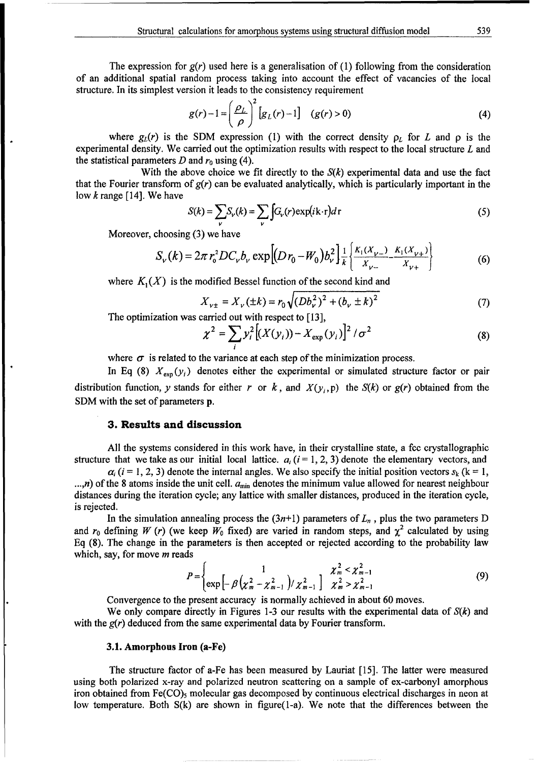The expression for  $g(r)$  used here is a generalisation of (1) following from the consideration of an additional spatial random process taking into account the effect of vacancies of the local structure. In its simplest version it leads to the consistency requirement

$$
g(r)-1=\left(\frac{\rho_L}{\rho}\right)^2\left[g_L(r)-1\right] \quad (g(r)>0)
$$
\n(4)

where  $g_L(r)$  is the SDM expression (1) with the correct density  $\rho_L$  for *L* and  $\rho$  is the experimental density. We carried out the optimization results with respect to the local structure L and the statistical parameters  $D$  and  $r_0$  using (4).

With the above choice we fit directly to the  $S(k)$  experimental data and use the fact that the Fourier transform of  $g(r)$  can be evaluated analytically, which is particularly important in the low  $k$  range [14]. We have

$$
S(k) = \sum_{v} S_{v}(k) = \sum_{v} \int G_{v}(r) \exp(i\mathbf{k} \cdot \mathbf{r}) dr
$$
 (5)

Moreover, choosing (3) we have

$$
S_{\nu}(k) = 2\pi r_{0}^{2}DC_{\nu}b_{\nu} \exp\left[(D r_{0} - W_{0})b_{\nu}^{2}\right] \frac{1}{k} \left\{\frac{K_{1}(X_{\nu-})}{X_{\nu-}} \frac{K_{1}(X_{\nu+})}{X_{\nu+}}\right\}
$$
(6)

where  $K_1(X)$  is the modified Bessel function of the second kind and

$$
X_{v\pm} = X_v(\pm k) = r_0 \sqrt{(Db_v^2)^2 + (b_v \pm k)^2}
$$
 (7)

The optimization was carried out with respect to [13],

$$
\chi^{2} = \sum_{i} y_{i}^{2} \left[ (X(y_{i})) - X_{\exp}(y_{i}) \right]^{2} / \sigma^{2}
$$
 (8)

where  $\sigma$  is related to the variance at each step of the minimization process.

In Eq (8)  $X_{\text{exp}}(y_i)$  denotes either the experimental or simulated structure factor or pair distribution function, y stands for either r or  $k$ , and  $X(y_i, p)$  the  $S(k)$  or  $g(r)$  obtained from the **SDM** with the set of parameters p.

#### **3.** Results and discussion

All the systems considered in this work have, in their crystalline state, a fec crystallographic structure that we take as our initial local lattice.  $a<sub>i</sub>$  (i = 1, 2, 3) denote the elementary vectors, and

 $\alpha_i$  (i = 1, 2, 3) denote the internal angles. We also specify the initial position vectors  $s_k$  (k = 1, *...,n*) of the 8 atoms inside the unit cell.  $a_{\min}$  denotes the minimum value allowed for nearest neighbour distances during the iteration cycle; any lattice with smaller distances, produced in the iteration cycle, is rejected.

In the simulation annealing process the  $(3n+1)$  parameters of  $L_n$ , plus the two parameters D and  $r_0$  defining W (r) (we keep  $W_0$  fixed) are varied in random steps, and  $\chi^2$  calculated by using Eq (8). The change in the parameters is then accepted or rejected according to the probability law which, say, for move  $m$  reads

$$
P = \begin{cases} 1 & \chi_m^2 < \chi_{m-1}^2 \\ \exp\left[-\beta\left(\chi_m^2 - \chi_{m-1}^2\right)/\chi_{m-1}^2\right] & \chi_m^2 > \chi_{m-1}^2 \end{cases}
$$
(9)

Convergence to the present accuracy is normally achieved in about 60 moves.

We only compare directly in Figures 1-3 our results with the experimental data of *S(k)* and with the  $g(r)$  deduced from the same experimental data by Fourier transform.

#### **3.1.** Amorphous Iron (a-Fe)

The structure factor of a-Fe has been measured by Lauriat [15]. The latter were measured using both polarized x-ray and polarized neutron scattering on a sample of ex-carbonyl amorphous iron obtained from Fe(CO)<sub>5</sub> molecular gas decomposed by continuous electrical discharges in neon at low temperature. Both S(k) are shown in figure(1-a). We note that the differences between the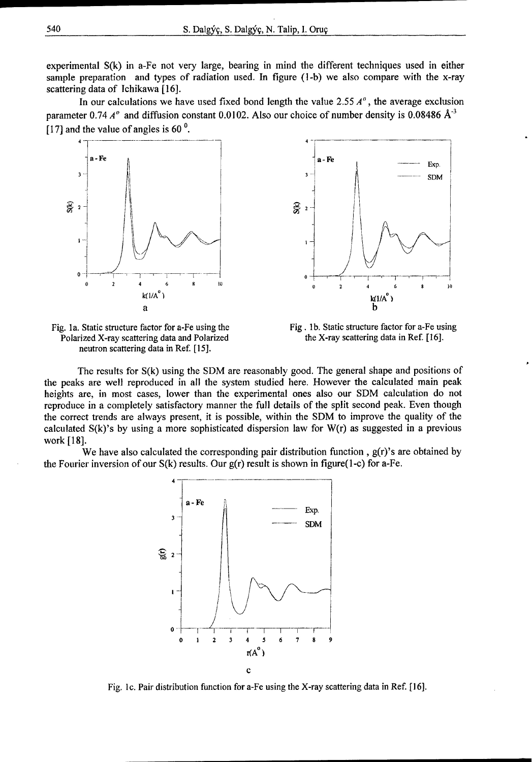experimental S(k) in a-Fe not very large, bearing in mind the different techniques used in either sample preparation and types of radiation used. In figure (1-b) we also compare with the x-ray scattering data of Ichikawa [16].

In our calculations we have used fixed bond length the value 2.55  $A<sup>o</sup>$ , the average exclusion parameter 0.74  $A^{\circ}$  and diffusion constant 0.0102. Also our choice of number density is 0.08486  $A^{-3}$ [17] and the value of angles is 60 **0.**







The results for S(k) using the SDM are reasonably good. The general shape and positions of the peaks are well reproduced in all the system studied here. However the calculated main peak heights are, in most cases, lower than the experimental ones also our **SDM** calculation do not reproduce in a completely satisfactory manner the full details of the split second peak. Even though the correct trends are always present, it is possible, within the SDM to improve the quality of the calculated  $S(k)$ 's by using a more sophisticated dispersion law for  $W(r)$  as suggested in a previous work [ 18].

We have also calculated the corresponding pair distribution function,  $g(r)$ 's are obtained by the Fourier inversion of our  $S(k)$  results. Our  $g(r)$  result is shown in figure(1-c) for a-Fe.



Fig. Ic. Pair distribution function for a-Fe using the X-ray scattering data in Ref. **[16].**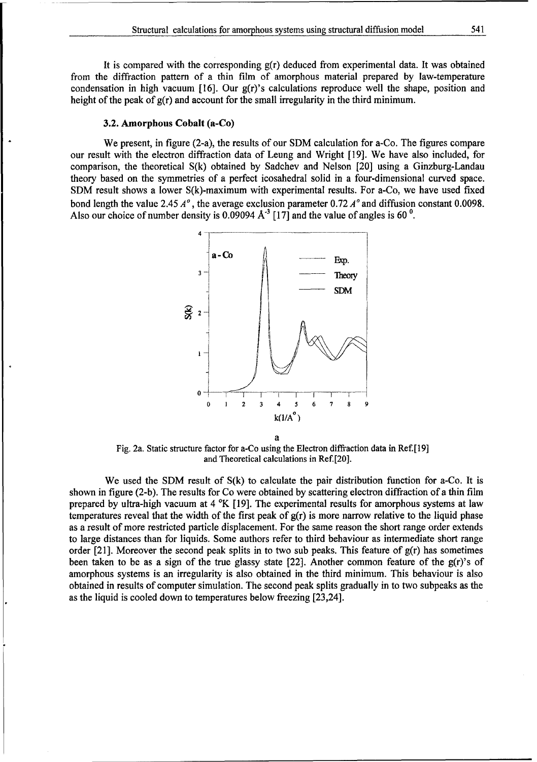It is compared with the corresponding g(r) deduced from experimental data. It was obtained from the diffraction pattern of a thin film of amorphous material prepared by law-temperature condensation in high vacuum [16]. Our g(r)'s calculations reproduce well the shape, position and height of the peak of  $g(r)$  and account for the small irregularity in the third minimum.

#### **3.2.** Amorphous Cobalt (a-Co)

We present, in figure (2-a), the results of our SDM calculation for a-Co. The figures compare our result with the electron diffraction data of Leung and Wright [19]. We have also included, for comparison, the theoretical S(k) obtained by Sadchev and Nelson [20] using a Ginzburg-Landau theory based on the symmetries of a perfect icosahedral solid in a four-dimensional curved space. **SDM** result shows a lower S(k)-maximum with experimental results. For a-Co, we have used fixed bond length the value 2.45 *A',* the average exclusion parameter 0.72 **A'** and diffusion constant 0.0098. Also our choice of number density is  $0.09094 \text{ A}^3$  [17] and the value of angles is 60<sup>0</sup>.



Fig. 2a. Static structure factor for a-Co using the Electron diffraction data in Ref.[19] and Theoretical calculations in Ref.[20].

We used the **SDM** result of S(k) to calculate the pair distribution function for a-Co. It is shown in figure (2-b). The results for Co were obtained by scattering electron diffraction of a thin film prepared by ultra-high vacuum at 4 °K [19]. The experimental results for amorphous systems at law temperatures reveal that the width of the first peak of  $g(r)$  is more narrow relative to the liquid phase as a result of more restricted particle displacement. For the same reason the short range order extends to large distances than for liquids. Some authors refer to third behaviour as intermediate short range order [21]. Moreover the second peak splits in to two sub peaks. This feature of  $g(r)$  has sometimes been taken to be as a sign of the true glassy state  $[22]$ . Another common feature of the  $g(r)$ 's of amorphous systems is an irregularity is also obtained in the third minimum. This behaviour is also obtained in results of computer simulation. The second peak splits gradually in to two subpeaks as the as the liquid is cooled down to temperatures below freezing [23,24].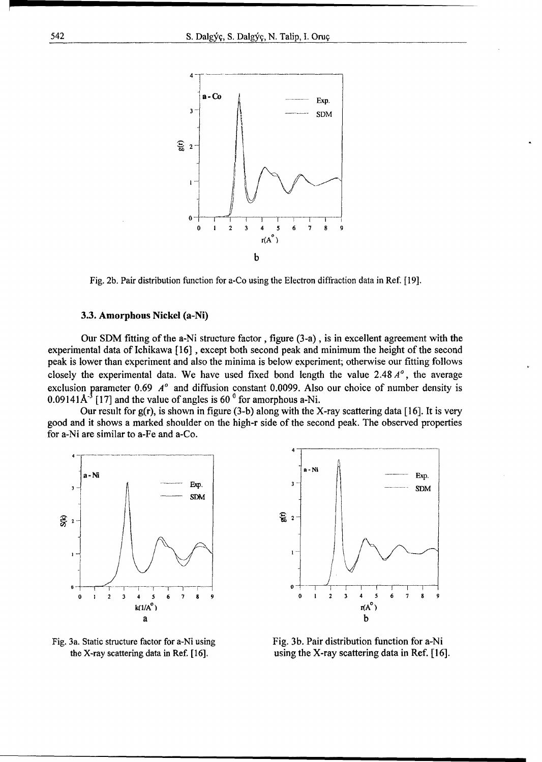

Fig. 2b. Pair distribution function for a-Co using the Electron diffraction data in Ref. [19].

#### 3.3. Amorphous Nickel (a-Ni)

Our SDM fitting of the a-Ni structure factor, figure (3-a), is in excellent agreement with the experimental data of Ichikawa [16] , except both second peak and minimum the height of the second peak is lower than experiment and also the minima is below experiment; otherwise our fitting follows closely the experimental data. We have used fixed bond length the value 2.48 *A',* the average exclusion parameter  $0.69$   $A^o$  and diffusion constant 0.0099. Also our choice of number density is 0.09141 $A<sup>-3</sup>$  [17] and the value of angles is 60<sup> $0$ </sup> for amorphous a-Ni.

Our result for  $g(r)$ , is shown in figure (3-b) along with the X-ray scattering data [16]. It is very good and it shows a marked shoulder on the high-r side of the second peak. The observed properties for a-Ni are similar to a-Fe and a-Co.







the X-ray scattering data in Ref. [16]. using the X-ray scattering data in Ref. [16].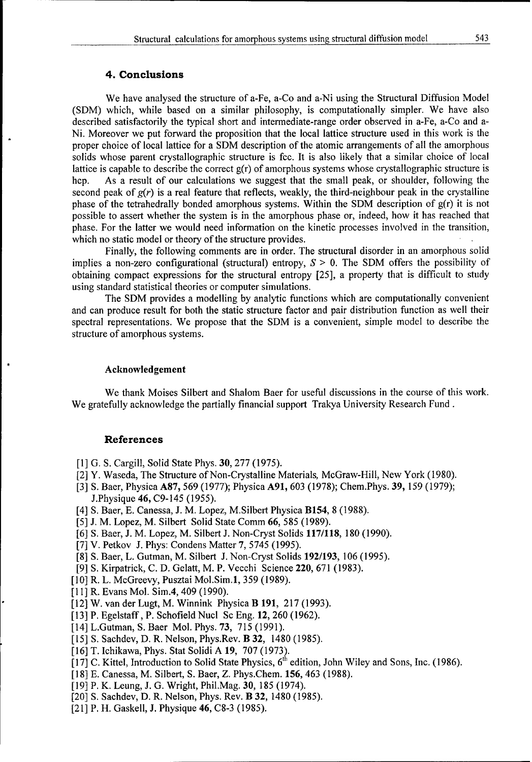### 4. Conclusions

We have analysed the structure of a-Fe, a-Co and a-Ni using the Structural Diffusion Model **(SDM)** which, while based on a similar philosophy, is computationally simpler. We have also described satisfactorily the typical short and intermediate-range order observed in a-Fe, a-Co and a-Ni. Moreover we put forward the proposition that the local lattice structure used in this work is the proper choice of local lattice for a SDM description of the atomic arrangements of all the amorphous solids whose parent crystallographic structure is fcc. It is also likely that a similar choice of local lattice is capable to describe the correct  $g(r)$  of amorphous systems whose crystallographic structure is hcp. As a result of our calculations we suggest that the small peak, or shoulder, following the second peak of  $g(r)$  is a real feature that reflects, weakly, the third-neighbour peak in the crystalline phase of the tetrahedrally bonded amorphous systems. Within the SDM description of g(r) it is not possible to assert whether the system is in the amorphous phase or, indeed, how it has reached that phase. For the latter we would need information on the kinetic processes involved in the transition, which no static model or theory of the structure provides.

Finally, the following comments are in order. The structural disorder in an amorphous solid implies a non-zero configurational (structural) entropy,  $S > 0$ . The SDM offers the possibility of obtaining compact expressions for the structural entropy [25], a property that is difficult to study using standard statistical theories or computer simulations.

The **SDM** provides a modelling by analytic functions which are computationally convenient and can produce result for both the static structure factor and pair distribution function as well their spectral representations. We propose that the SDM is a convenient, simple model to describe the structure of amorphous systems.

### Acknowledgement

We thank Moises Silbert and Shalom Baer for useful discussions in the course of this work. We gratefully acknowledge the partially financial support Trakya University Research Fund.

#### References

- [1] G. S. Cargill, Solid State Phys. 30, 277 (1975).
- [2] Y. Waseda, The Structure of Non-Crystalline Materials, McGraw-Hill, New York (1980).
- [3] **S.** Baer, Physica A87, 569 (1977); Physica **A91,** 603 (1978); Chem.Phys. 39, 159 (1979); J.Physique 46, C9-145 (1955).
- [4] S. Baer, E. Canessa, J. M. Lopez, M. Silbert Physica **B154**, 8 (1988).
- [5] J. M. Lopez, M. Silbert Solid State Comm 66, 585 (1989).
- [6] **S.** Baer, J. M. Lopez, M. Silbert J. Non-Cryst Solids 117/118, 180 (1990).
- [7] V. Petkov J. Phys: Condens Matter 7, 5745 (1995).
- [8] **S.** Baer, L. Gutman, M. Silbert J. Non-Cryst Solids 192/193, 106 (1995).
- [9] **S.** Kirpatrick, C. D. Gelatt, M. P. Vecchi Science 220, 671 (1983).
- [10] R. L. McGreevy, Pusztai Mol.Sim.1, 359 (1989).
- [11] R. Evans Mol. Sim.4, 409 (1990).
- [12] W. van der Lugt, M. Winnink Physica B **191,** 217 (1993).
- [13] P. Egelstaff, P. Schofield Nucl Sc Eng. 12, 260 (1962).
- [14] L.Gutman, S. Baer Mol. Phys. 73, 715 (1991).
- [15] **S.** Sachdev, D. R. Nelson, Phys.Rev. B 32, 1480 (1985).
- [16] T. Ichikawa, Phys. Stat Solidi A **19,** 707 (1973).
- [17] C. Kittel, Introduction to Solid State Physics,  $6<sup>th</sup>$  edition, John Wiley and Sons, Inc. (1986).
- [18] E. Canessa, M. Silbert, S. Baer, Z. Phys.Chem. 156, 463 (1988).
- [19] P. K. Leung, J. G. Wright, Phil.Mag. 30, 185 (1974).
- [20] **S.** Sachdev, D. R. Nelson, Phys. Rev. B 32, 1480 (1985).
- [21] P. H. Gaskell, J. Physique 46, C8-3 (1985).